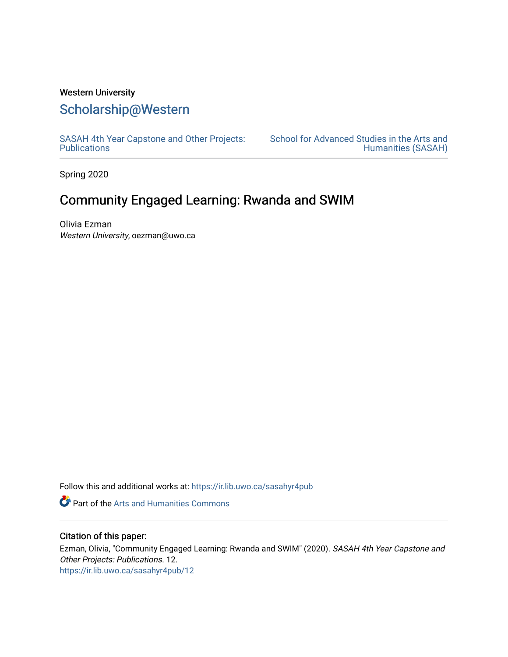### Western University

## [Scholarship@Western](https://ir.lib.uwo.ca/)

[SASAH 4th Year Capstone and Other Projects:](https://ir.lib.uwo.ca/sasahyr4pub)  **Publications** 

[School for Advanced Studies in the Arts and](https://ir.lib.uwo.ca/sasah)  [Humanities \(SASAH\)](https://ir.lib.uwo.ca/sasah) 

Spring 2020

# Community Engaged Learning: Rwanda and SWIM

Olivia Ezman Western University, oezman@uwo.ca

Follow this and additional works at: [https://ir.lib.uwo.ca/sasahyr4pub](https://ir.lib.uwo.ca/sasahyr4pub?utm_source=ir.lib.uwo.ca%2Fsasahyr4pub%2F12&utm_medium=PDF&utm_campaign=PDFCoverPages) 

Part of the [Arts and Humanities Commons](http://network.bepress.com/hgg/discipline/438?utm_source=ir.lib.uwo.ca%2Fsasahyr4pub%2F12&utm_medium=PDF&utm_campaign=PDFCoverPages) 

### Citation of this paper:

Ezman, Olivia, "Community Engaged Learning: Rwanda and SWIM" (2020). SASAH 4th Year Capstone and Other Projects: Publications. 12. [https://ir.lib.uwo.ca/sasahyr4pub/12](https://ir.lib.uwo.ca/sasahyr4pub/12?utm_source=ir.lib.uwo.ca%2Fsasahyr4pub%2F12&utm_medium=PDF&utm_campaign=PDFCoverPages)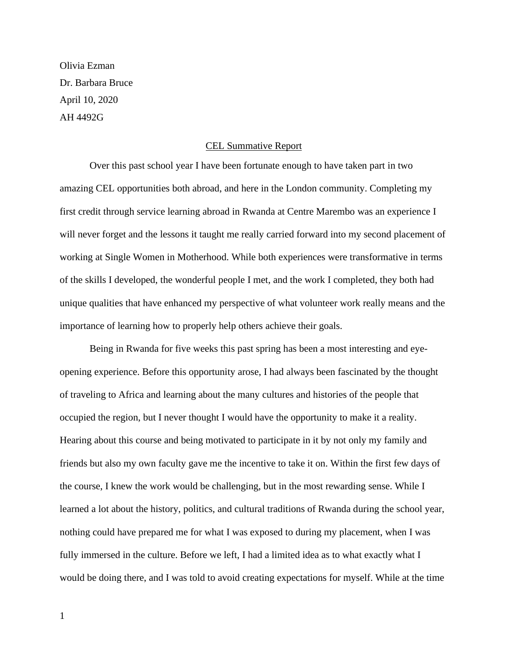Olivia Ezman Dr. Barbara Bruce April 10, 2020 AH 4492G

### CEL Summative Report

Over this past school year I have been fortunate enough to have taken part in two amazing CEL opportunities both abroad, and here in the London community. Completing my first credit through service learning abroad in Rwanda at Centre Marembo was an experience I will never forget and the lessons it taught me really carried forward into my second placement of working at Single Women in Motherhood. While both experiences were transformative in terms of the skills I developed, the wonderful people I met, and the work I completed, they both had unique qualities that have enhanced my perspective of what volunteer work really means and the importance of learning how to properly help others achieve their goals.

Being in Rwanda for five weeks this past spring has been a most interesting and eyeopening experience. Before this opportunity arose, I had always been fascinated by the thought of traveling to Africa and learning about the many cultures and histories of the people that occupied the region, but I never thought I would have the opportunity to make it a reality. Hearing about this course and being motivated to participate in it by not only my family and friends but also my own faculty gave me the incentive to take it on. Within the first few days of the course, I knew the work would be challenging, but in the most rewarding sense. While I learned a lot about the history, politics, and cultural traditions of Rwanda during the school year, nothing could have prepared me for what I was exposed to during my placement, when I was fully immersed in the culture. Before we left, I had a limited idea as to what exactly what I would be doing there, and I was told to avoid creating expectations for myself. While at the time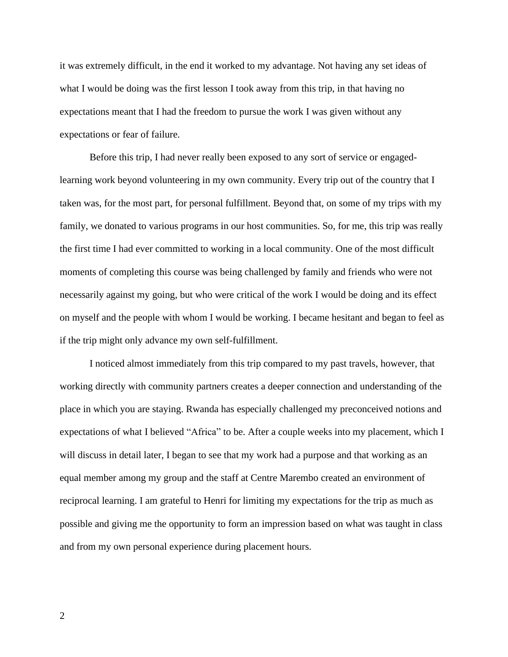it was extremely difficult, in the end it worked to my advantage. Not having any set ideas of what I would be doing was the first lesson I took away from this trip, in that having no expectations meant that I had the freedom to pursue the work I was given without any expectations or fear of failure.

Before this trip, I had never really been exposed to any sort of service or engagedlearning work beyond volunteering in my own community. Every trip out of the country that I taken was, for the most part, for personal fulfillment. Beyond that, on some of my trips with my family, we donated to various programs in our host communities. So, for me, this trip was really the first time I had ever committed to working in a local community. One of the most difficult moments of completing this course was being challenged by family and friends who were not necessarily against my going, but who were critical of the work I would be doing and its effect on myself and the people with whom I would be working. I became hesitant and began to feel as if the trip might only advance my own self-fulfillment.

I noticed almost immediately from this trip compared to my past travels, however, that working directly with community partners creates a deeper connection and understanding of the place in which you are staying. Rwanda has especially challenged my preconceived notions and expectations of what I believed "Africa" to be. After a couple weeks into my placement, which I will discuss in detail later, I began to see that my work had a purpose and that working as an equal member among my group and the staff at Centre Marembo created an environment of reciprocal learning. I am grateful to Henri for limiting my expectations for the trip as much as possible and giving me the opportunity to form an impression based on what was taught in class and from my own personal experience during placement hours.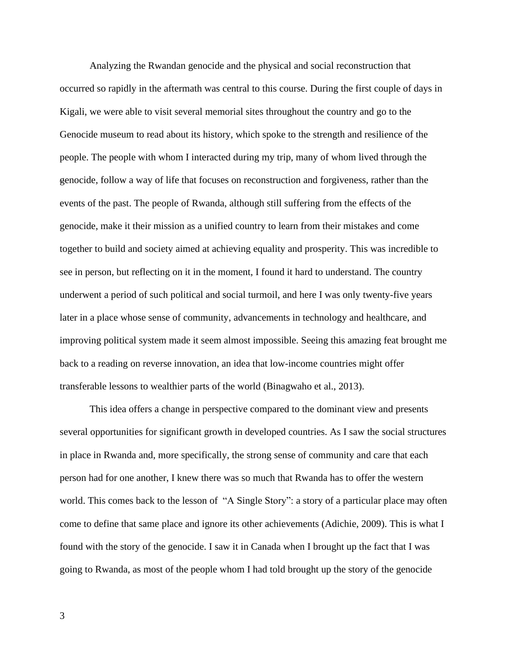Analyzing the Rwandan genocide and the physical and social reconstruction that occurred so rapidly in the aftermath was central to this course. During the first couple of days in Kigali, we were able to visit several memorial sites throughout the country and go to the Genocide museum to read about its history, which spoke to the strength and resilience of the people. The people with whom I interacted during my trip, many of whom lived through the genocide, follow a way of life that focuses on reconstruction and forgiveness, rather than the events of the past. The people of Rwanda, although still suffering from the effects of the genocide, make it their mission as a unified country to learn from their mistakes and come together to build and society aimed at achieving equality and prosperity. This was incredible to see in person, but reflecting on it in the moment, I found it hard to understand. The country underwent a period of such political and social turmoil, and here I was only twenty-five years later in a place whose sense of community, advancements in technology and healthcare, and improving political system made it seem almost impossible. Seeing this amazing feat brought me back to a reading on reverse innovation, an idea that low-income countries might offer transferable lessons to wealthier parts of the world (Binagwaho et al., 2013).

This idea offers a change in perspective compared to the dominant view and presents several opportunities for significant growth in developed countries. As I saw the social structures in place in Rwanda and, more specifically, the strong sense of community and care that each person had for one another, I knew there was so much that Rwanda has to offer the western world. This comes back to the lesson of "A Single Story": a story of a particular place may often come to define that same place and ignore its other achievements (Adichie, 2009). This is what I found with the story of the genocide. I saw it in Canada when I brought up the fact that I was going to Rwanda, as most of the people whom I had told brought up the story of the genocide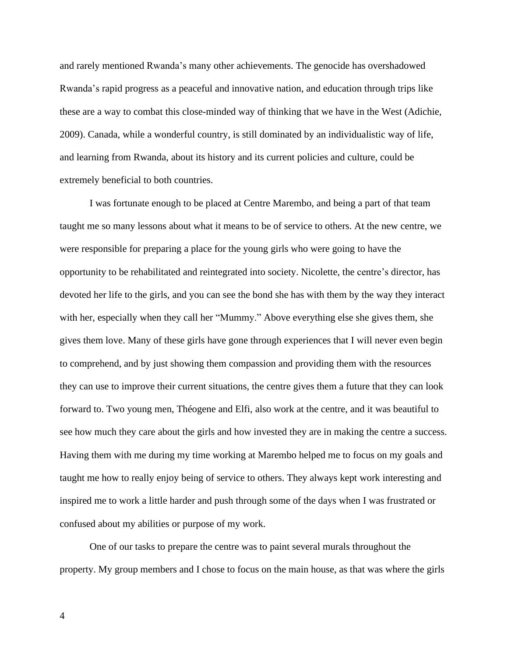and rarely mentioned Rwanda's many other achievements. The genocide has overshadowed Rwanda's rapid progress as a peaceful and innovative nation, and education through trips like these are a way to combat this close-minded way of thinking that we have in the West (Adichie, 2009). Canada, while a wonderful country, is still dominated by an individualistic way of life, and learning from Rwanda, about its history and its current policies and culture, could be extremely beneficial to both countries.

I was fortunate enough to be placed at Centre Marembo, and being a part of that team taught me so many lessons about what it means to be of service to others. At the new centre, we were responsible for preparing a place for the young girls who were going to have the opportunity to be rehabilitated and reintegrated into society. Nicolette, the centre's director, has devoted her life to the girls, and you can see the bond she has with them by the way they interact with her, especially when they call her "Mummy." Above everything else she gives them, she gives them love. Many of these girls have gone through experiences that I will never even begin to comprehend, and by just showing them compassion and providing them with the resources they can use to improve their current situations, the centre gives them a future that they can look forward to. Two young men, Théogene and Elfi, also work at the centre, and it was beautiful to see how much they care about the girls and how invested they are in making the centre a success. Having them with me during my time working at Marembo helped me to focus on my goals and taught me how to really enjoy being of service to others. They always kept work interesting and inspired me to work a little harder and push through some of the days when I was frustrated or confused about my abilities or purpose of my work.

One of our tasks to prepare the centre was to paint several murals throughout the property. My group members and I chose to focus on the main house, as that was where the girls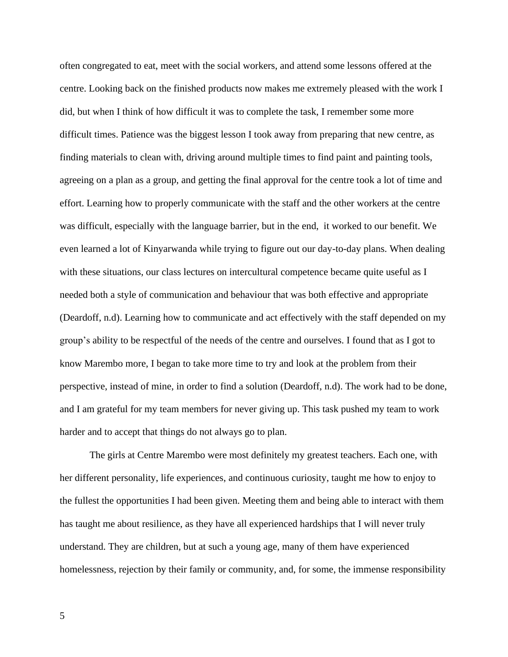often congregated to eat, meet with the social workers, and attend some lessons offered at the centre. Looking back on the finished products now makes me extremely pleased with the work I did, but when I think of how difficult it was to complete the task, I remember some more difficult times. Patience was the biggest lesson I took away from preparing that new centre, as finding materials to clean with, driving around multiple times to find paint and painting tools, agreeing on a plan as a group, and getting the final approval for the centre took a lot of time and effort. Learning how to properly communicate with the staff and the other workers at the centre was difficult, especially with the language barrier, but in the end, it worked to our benefit. We even learned a lot of Kinyarwanda while trying to figure out our day-to-day plans. When dealing with these situations, our class lectures on intercultural competence became quite useful as I needed both a style of communication and behaviour that was both effective and appropriate (Deardoff, n.d). Learning how to communicate and act effectively with the staff depended on my group's ability to be respectful of the needs of the centre and ourselves. I found that as I got to know Marembo more, I began to take more time to try and look at the problem from their perspective, instead of mine, in order to find a solution (Deardoff, n.d). The work had to be done, and I am grateful for my team members for never giving up. This task pushed my team to work harder and to accept that things do not always go to plan.

The girls at Centre Marembo were most definitely my greatest teachers. Each one, with her different personality, life experiences, and continuous curiosity, taught me how to enjoy to the fullest the opportunities I had been given. Meeting them and being able to interact with them has taught me about resilience, as they have all experienced hardships that I will never truly understand. They are children, but at such a young age, many of them have experienced homelessness, rejection by their family or community, and, for some, the immense responsibility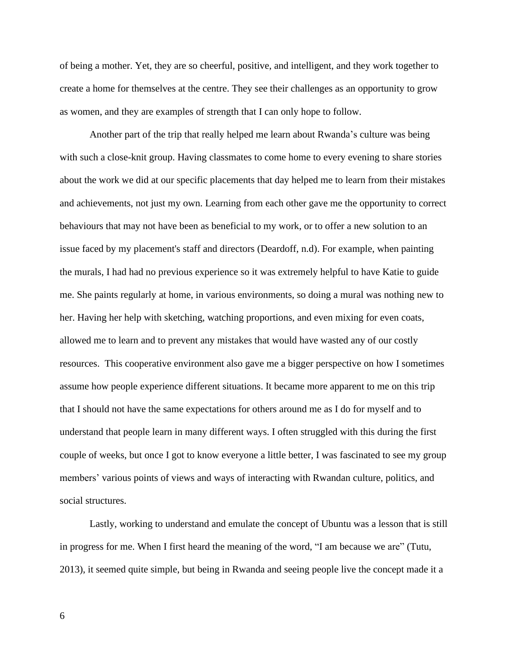of being a mother. Yet, they are so cheerful, positive, and intelligent, and they work together to create a home for themselves at the centre. They see their challenges as an opportunity to grow as women, and they are examples of strength that I can only hope to follow.

Another part of the trip that really helped me learn about Rwanda's culture was being with such a close-knit group. Having classmates to come home to every evening to share stories about the work we did at our specific placements that day helped me to learn from their mistakes and achievements, not just my own. Learning from each other gave me the opportunity to correct behaviours that may not have been as beneficial to my work, or to offer a new solution to an issue faced by my placement's staff and directors (Deardoff, n.d). For example, when painting the murals, I had had no previous experience so it was extremely helpful to have Katie to guide me. She paints regularly at home, in various environments, so doing a mural was nothing new to her. Having her help with sketching, watching proportions, and even mixing for even coats, allowed me to learn and to prevent any mistakes that would have wasted any of our costly resources. This cooperative environment also gave me a bigger perspective on how I sometimes assume how people experience different situations. It became more apparent to me on this trip that I should not have the same expectations for others around me as I do for myself and to understand that people learn in many different ways. I often struggled with this during the first couple of weeks, but once I got to know everyone a little better, I was fascinated to see my group members' various points of views and ways of interacting with Rwandan culture, politics, and social structures.

Lastly, working to understand and emulate the concept of Ubuntu was a lesson that is still in progress for me. When I first heard the meaning of the word, "I am because we are" (Tutu, 2013), it seemed quite simple, but being in Rwanda and seeing people live the concept made it a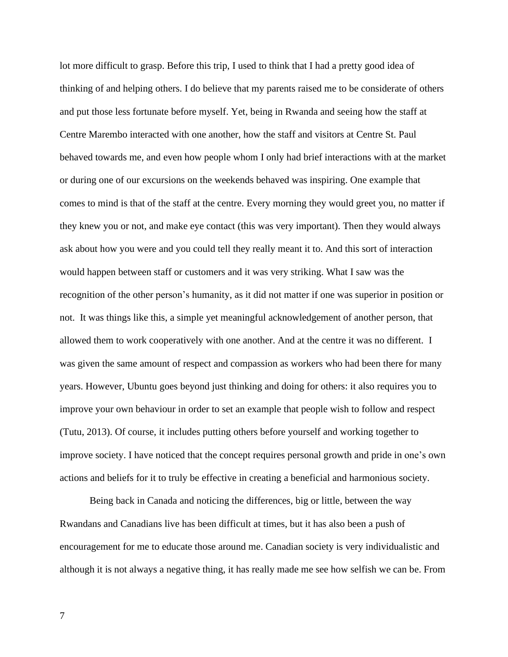lot more difficult to grasp. Before this trip, I used to think that I had a pretty good idea of thinking of and helping others. I do believe that my parents raised me to be considerate of others and put those less fortunate before myself. Yet, being in Rwanda and seeing how the staff at Centre Marembo interacted with one another, how the staff and visitors at Centre St. Paul behaved towards me, and even how people whom I only had brief interactions with at the market or during one of our excursions on the weekends behaved was inspiring. One example that comes to mind is that of the staff at the centre. Every morning they would greet you, no matter if they knew you or not, and make eye contact (this was very important). Then they would always ask about how you were and you could tell they really meant it to. And this sort of interaction would happen between staff or customers and it was very striking. What I saw was the recognition of the other person's humanity, as it did not matter if one was superior in position or not. It was things like this, a simple yet meaningful acknowledgement of another person, that allowed them to work cooperatively with one another. And at the centre it was no different. I was given the same amount of respect and compassion as workers who had been there for many years. However, Ubuntu goes beyond just thinking and doing for others: it also requires you to improve your own behaviour in order to set an example that people wish to follow and respect (Tutu, 2013). Of course, it includes putting others before yourself and working together to improve society. I have noticed that the concept requires personal growth and pride in one's own actions and beliefs for it to truly be effective in creating a beneficial and harmonious society.

Being back in Canada and noticing the differences, big or little, between the way Rwandans and Canadians live has been difficult at times, but it has also been a push of encouragement for me to educate those around me. Canadian society is very individualistic and although it is not always a negative thing, it has really made me see how selfish we can be. From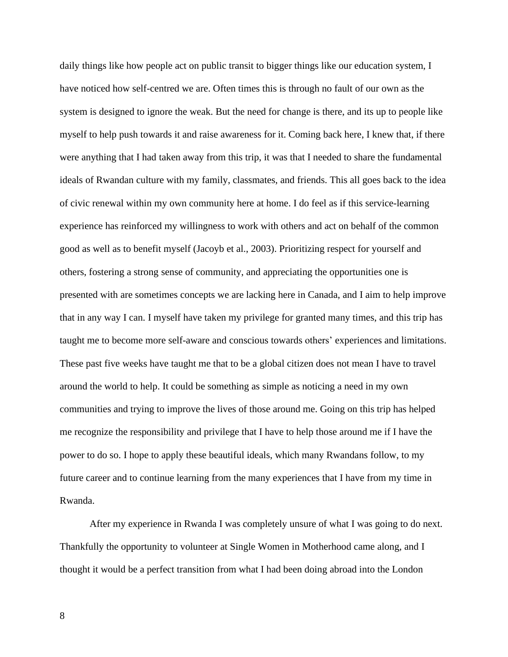daily things like how people act on public transit to bigger things like our education system, I have noticed how self-centred we are. Often times this is through no fault of our own as the system is designed to ignore the weak. But the need for change is there, and its up to people like myself to help push towards it and raise awareness for it. Coming back here, I knew that, if there were anything that I had taken away from this trip, it was that I needed to share the fundamental ideals of Rwandan culture with my family, classmates, and friends. This all goes back to the idea of civic renewal within my own community here at home. I do feel as if this service-learning experience has reinforced my willingness to work with others and act on behalf of the common good as well as to benefit myself (Jacoyb et al., 2003). Prioritizing respect for yourself and others, fostering a strong sense of community, and appreciating the opportunities one is presented with are sometimes concepts we are lacking here in Canada, and I aim to help improve that in any way I can. I myself have taken my privilege for granted many times, and this trip has taught me to become more self-aware and conscious towards others' experiences and limitations. These past five weeks have taught me that to be a global citizen does not mean I have to travel around the world to help. It could be something as simple as noticing a need in my own communities and trying to improve the lives of those around me. Going on this trip has helped me recognize the responsibility and privilege that I have to help those around me if I have the power to do so. I hope to apply these beautiful ideals, which many Rwandans follow, to my future career and to continue learning from the many experiences that I have from my time in Rwanda.

After my experience in Rwanda I was completely unsure of what I was going to do next. Thankfully the opportunity to volunteer at Single Women in Motherhood came along, and I thought it would be a perfect transition from what I had been doing abroad into the London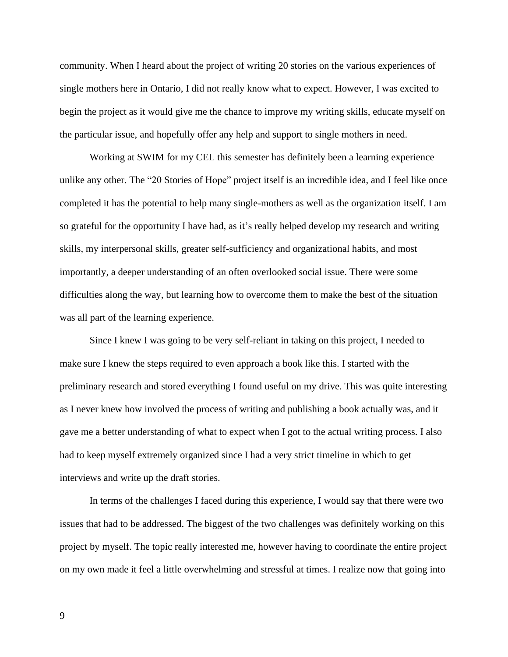community. When I heard about the project of writing 20 stories on the various experiences of single mothers here in Ontario, I did not really know what to expect. However, I was excited to begin the project as it would give me the chance to improve my writing skills, educate myself on the particular issue, and hopefully offer any help and support to single mothers in need.

Working at SWIM for my CEL this semester has definitely been a learning experience unlike any other. The "20 Stories of Hope" project itself is an incredible idea, and I feel like once completed it has the potential to help many single-mothers as well as the organization itself. I am so grateful for the opportunity I have had, as it's really helped develop my research and writing skills, my interpersonal skills, greater self-sufficiency and organizational habits, and most importantly, a deeper understanding of an often overlooked social issue. There were some difficulties along the way, but learning how to overcome them to make the best of the situation was all part of the learning experience.

Since I knew I was going to be very self-reliant in taking on this project, I needed to make sure I knew the steps required to even approach a book like this. I started with the preliminary research and stored everything I found useful on my drive. This was quite interesting as I never knew how involved the process of writing and publishing a book actually was, and it gave me a better understanding of what to expect when I got to the actual writing process. I also had to keep myself extremely organized since I had a very strict timeline in which to get interviews and write up the draft stories.

In terms of the challenges I faced during this experience, I would say that there were two issues that had to be addressed. The biggest of the two challenges was definitely working on this project by myself. The topic really interested me, however having to coordinate the entire project on my own made it feel a little overwhelming and stressful at times. I realize now that going into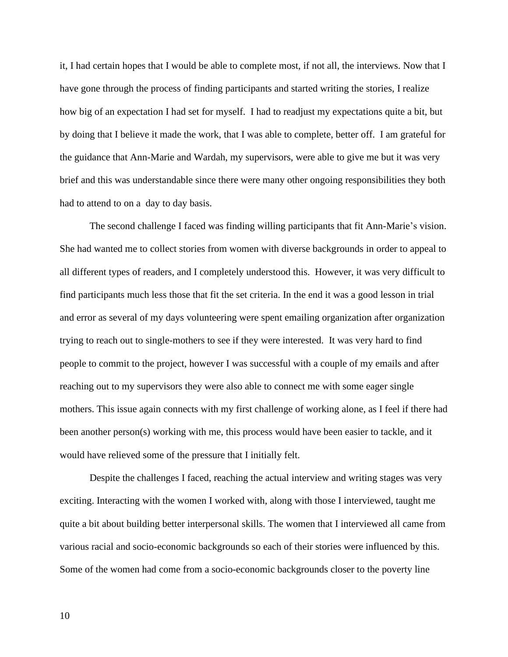it, I had certain hopes that I would be able to complete most, if not all, the interviews. Now that I have gone through the process of finding participants and started writing the stories, I realize how big of an expectation I had set for myself. I had to readjust my expectations quite a bit, but by doing that I believe it made the work, that I was able to complete, better off. I am grateful for the guidance that Ann-Marie and Wardah, my supervisors, were able to give me but it was very brief and this was understandable since there were many other ongoing responsibilities they both had to attend to on a day to day basis.

The second challenge I faced was finding willing participants that fit Ann-Marie's vision. She had wanted me to collect stories from women with diverse backgrounds in order to appeal to all different types of readers, and I completely understood this. However, it was very difficult to find participants much less those that fit the set criteria. In the end it was a good lesson in trial and error as several of my days volunteering were spent emailing organization after organization trying to reach out to single-mothers to see if they were interested. It was very hard to find people to commit to the project, however I was successful with a couple of my emails and after reaching out to my supervisors they were also able to connect me with some eager single mothers. This issue again connects with my first challenge of working alone, as I feel if there had been another person(s) working with me, this process would have been easier to tackle, and it would have relieved some of the pressure that I initially felt.

Despite the challenges I faced, reaching the actual interview and writing stages was very exciting. Interacting with the women I worked with, along with those I interviewed, taught me quite a bit about building better interpersonal skills. The women that I interviewed all came from various racial and socio-economic backgrounds so each of their stories were influenced by this. Some of the women had come from a socio-economic backgrounds closer to the poverty line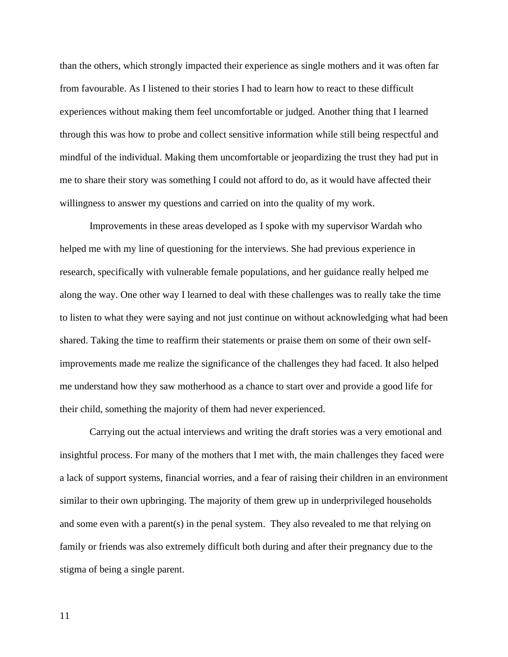than the others, which strongly impacted their experience as single mothers and it was often far from favourable. As I listened to their stories I had to learn how to react to these difficult experiences without making them feel uncomfortable or judged. Another thing that I learned through this was how to probe and collect sensitive information while still being respectful and mindful of the individual. Making them uncomfortable or jeopardizing the trust they had put in me to share their story was something I could not afford to do, as it would have affected their willingness to answer my questions and carried on into the quality of my work.

Improvements in these areas developed as I spoke with my supervisor Wardah who helped me with my line of questioning for the interviews. She had previous experience in research, specifically with vulnerable female populations, and her guidance really helped me along the way. One other way I learned to deal with these challenges was to really take the time to listen to what they were saying and not just continue on without acknowledging what had been shared. Taking the time to reaffirm their statements or praise them on some of their own selfimprovements made me realize the significance of the challenges they had faced. It also helped me understand how they saw motherhood as a chance to start over and provide a good life for their child, something the majority of them had never experienced.

Carrying out the actual interviews and writing the draft stories was a very emotional and insightful process. For many of the mothers that I met with, the main challenges they faced were a lack of support systems, financial worries, and a fear of raising their children in an environment similar to their own upbringing. The majority of them grew up in underprivileged households and some even with a parent(s) in the penal system. They also revealed to me that relying on family or friends was also extremely difficult both during and after their pregnancy due to the stigma of being a single parent.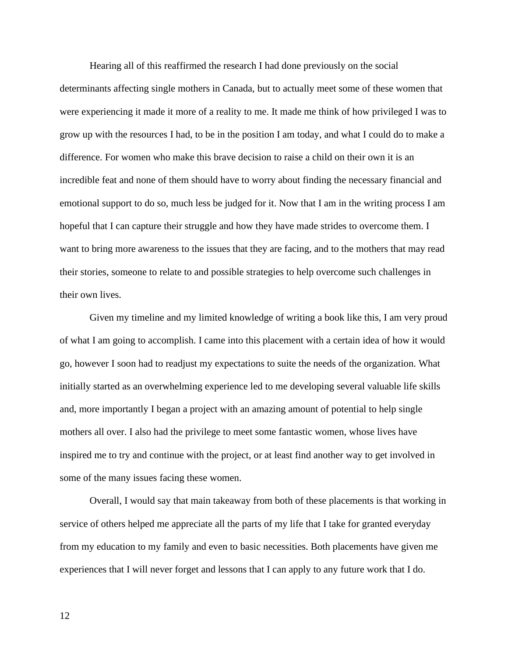Hearing all of this reaffirmed the research I had done previously on the social determinants affecting single mothers in Canada, but to actually meet some of these women that were experiencing it made it more of a reality to me. It made me think of how privileged I was to grow up with the resources I had, to be in the position I am today, and what I could do to make a difference. For women who make this brave decision to raise a child on their own it is an incredible feat and none of them should have to worry about finding the necessary financial and emotional support to do so, much less be judged for it. Now that I am in the writing process I am hopeful that I can capture their struggle and how they have made strides to overcome them. I want to bring more awareness to the issues that they are facing, and to the mothers that may read their stories, someone to relate to and possible strategies to help overcome such challenges in their own lives.

Given my timeline and my limited knowledge of writing a book like this, I am very proud of what I am going to accomplish. I came into this placement with a certain idea of how it would go, however I soon had to readjust my expectations to suite the needs of the organization. What initially started as an overwhelming experience led to me developing several valuable life skills and, more importantly I began a project with an amazing amount of potential to help single mothers all over. I also had the privilege to meet some fantastic women, whose lives have inspired me to try and continue with the project, or at least find another way to get involved in some of the many issues facing these women.

Overall, I would say that main takeaway from both of these placements is that working in service of others helped me appreciate all the parts of my life that I take for granted everyday from my education to my family and even to basic necessities. Both placements have given me experiences that I will never forget and lessons that I can apply to any future work that I do.